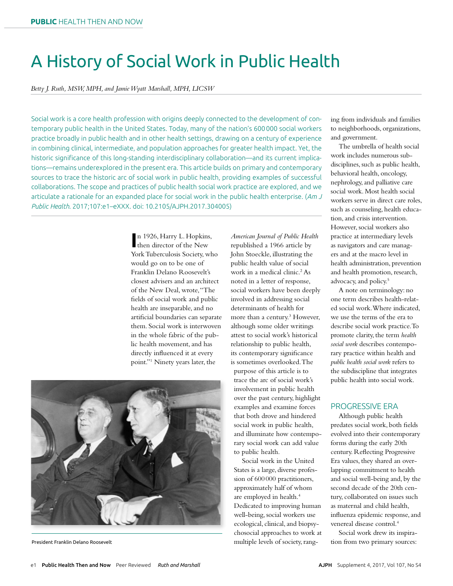# A History of Social Work in Public Health

*Betty J. Ruth, MSW, MPH, and Jamie Wyatt Marshall, MPH, LICSW*

Social work is a core health profession with origins deeply connected to the development of contemporary public health in the United States. Today, many of the nation's 600000 social workers practice broadly in public health and in other health settings, drawing on a century of experience in combining clinical, intermediate, and population approaches for greater health impact. Yet, the historic significance of this long-standing interdisciplinary collaboration—and its current implications—remains underexplored in the present era. This article builds on primary and contemporary sources to trace the historic arc of social work in public health, providing examples of successful collaborations. The scope and practices of public health social work practice are explored, and we articulate a rationale for an expanded place for social work in the public health enterprise. (*Am J Public Health*. 2017;107:e1–eXXX. doi: 10.2105/AJPH.2017.304005)

> In 1926, Harry L. Hopkins<br>
> then director of the New n 1926, Harry L. Hopkins, York Tuberculosis Society, who would go on to be one of Franklin Delano Roosevelt's closest advisers and an architect of the New Deal, wrote, "The felds of social work and public health are inseparable, and no artifcial boundaries can separate them. Social work is interwoven in the whole fabric of the public health movement, and has directly infuenced it at every point."1 Ninety years later, the

*American Journal of Public Health* republished a 1966 article by John Stoeckle, illustrating the public health value of social work in a medical clinic.<sup>2</sup> As noted in a letter of response, social workers have been deeply involved in addressing social determinants of health for more than a century.<sup>3</sup> However, although some older writings attest to social work's historical relationship to public health, its contemporary signifcance is sometimes overlooked. The purpose of this article is to trace the arc of social work's involvement in public health over the past century, highlight examples and examine forces that both drove and hindered social work in public health, and illuminate how contemporary social work can add value to public health.

Social work in the United States is a large, diverse profession of 600000 practitioners, approximately half of whom are employed in health.<sup>4</sup> Dedicated to improving human well-being, social workers use ecological, clinical, and biopsychosocial approaches to work at multiple levels of society, rang-

ing from individuals and families to neighborhoods, organizations, and government.

The umbrella of health social work includes numerous subdisciplines, such as public health, behavioral health, oncology, nephrology, and palliative care social work. Most health social workers serve in direct care roles, such as counseling, health education, and crisis intervention. However, social workers also practice at intermediary levels as navigators and care managers and at the macro level in health administration, prevention and health promotion, research, advocacy, and policy.<sup>5</sup>

A note on terminology: no one term describes health-related social work. Where indicated, we use the terms of the era to describe social work practice. To promote clarity, the term *health social work* describes contemporary practice within health and *public health social work* refers to the subdiscipline that integrates public health into social work.

#### PROGRESSIVE ERA

Although public health predates social work, both felds evolved into their contemporary forms during the early 20th century. Refecting Progressive Era values, they shared an overlapping commitment to health and social well-being and, by the second decade of the 20th century, collaborated on issues such as maternal and child health, infuenza epidemic response, and venereal disease control.<sup>4</sup>

Social work drew its inspiration from two primary sources:



President Franklin Delano Roosevelt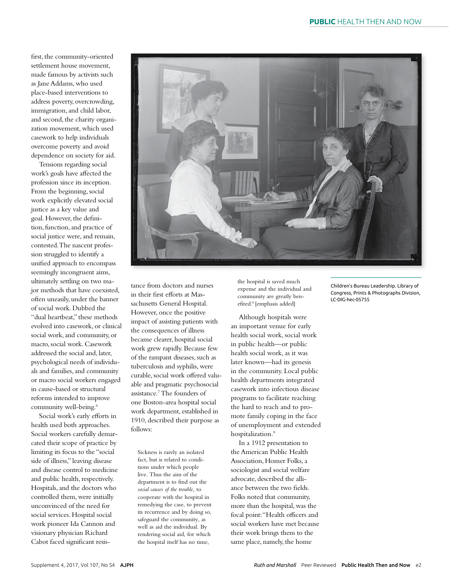frst, the community-oriented settlement house movement, made famous by activists such as Jane Addams, who used place-based interventions to address poverty, overcrowding, immigration, and child labor, and second, the charity organization movement, which used casework to help individuals overcome poverty and avoid dependence on society for aid.

Tensions regarding social work's goals have afected the profession since its inception. From the beginning, social work explicitly elevated social justice as a key value and goal. However, the defnition, function, and practice of social justice were, and remain, contested. The nascent profession struggled to identify a unifed approach to encompass seemingly incongruent aims, ultimately settling on two major methods that have coexisted, often uneasily, under the banner of social work. Dubbed the "dual heartbeat," these methods evolved into casework, or clinical social work, and community, or macro, social work. Casework addressed the social and, later, psychological needs of individuals and families, and community or macro social workers engaged in cause-based or structural reforms intended to improve community well-being.<sup>6</sup>

Social work's early efforts in health used both approaches. Social workers carefully demarcated their scope of practice by limiting its focus to the "social side of illness," leaving disease and disease control to medicine and public health, respectively. Hospitals, and the doctors who controlled them, were initially unconvinced of the need for social services. Hospital social work pioneer Ida Cannon and visionary physician Richard Cabot faced signifcant resistance from doctors and nurses in their first efforts at Massachusetts General Hospital. However, once the positive impact of assisting patients with the consequences of illness became clearer, hospital social work grew rapidly. Because few of the rampant diseases, such as tuberculosis and syphilis, were curable, social work offered valuable and pragmatic psychosocial assistance.7 The founders of one Boston-area hospital social work department, established in 1910, described their purpose as follows:

Sickness is rarely an isolated fact, but is related to conditions under which people live. Thus the aim of the department is to find out the *social causes of the trouble,* to cooperate with the hospital in remedying the case, to prevent its recurrence and by doing so, safeguard the community, as well as aid the individual. By rendering social aid, for which the hospital itself has no time,

the hospital is saved much expense and the individual and community are greatly benefited.<sup>8</sup> [emphasis added]

Although hospitals were an important venue for early health social work, social work in public health—or public health social work, as it was later known—had its genesis in the community. Local public health departments integrated casework into infectious disease programs to facilitate reaching the hard to reach and to promote family coping in the face of unemployment and extended hospitalization.<sup>9</sup>

In a 1912 presentation to the American Public Health Association, Homer Folks, a sociologist and social welfare advocate, described the alliance between the two felds. Folks noted that community, more than the hospital, was the focal point: "Health officers and social workers have met because their work brings them to the same place, namely, the home

Children's Bureau Leadership. Library of Congress, Prints & Photographs Division, LC-DIG-hec-05755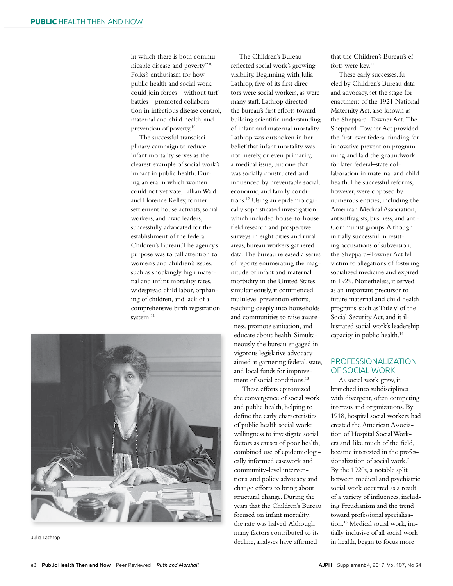in which there is both communicable disease and poverty."10 Folks's enthusiasm for how public health and social work could join forces—without turf battles—promoted collaboration in infectious disease control, maternal and child health, and prevention of poverty.10

The successful transdisciplinary campaign to reduce infant mortality serves as the clearest example of social work's impact in public health. During an era in which women could not yet vote, Lillian Wald and Florence Kelley, former settlement house activists, social workers, and civic leaders, successfully advocated for the establishment of the federal Children's Bureau. The agency's purpose was to call attention to women's and children's issues, such as shockingly high maternal and infant mortality rates, widespread child labor, orphaning of children, and lack of a comprehensive birth registration system.<sup>11</sup>



The Children's Bureau refected social work's growing visibility. Beginning with Julia Lathrop, fve of its frst directors were social workers, as were many staf. Lathrop directed the bureau's first efforts toward building scientifc understanding of infant and maternal mortality. Lathrop was outspoken in her belief that infant mortality was not merely, or even primarily, a medical issue, but one that was socially constructed and infuenced by preventable social, economic, and family conditions.12 Using an epidemiologically sophisticated investigation, which included house-to-house feld research and prospective surveys in eight cities and rural areas, bureau workers gathered data. The bureau released a series of reports enumerating the magnitude of infant and maternal morbidity in the United States; simultaneously, it commenced multilevel prevention efforts, reaching deeply into households and communities to raise awareness, promote sanitation, and educate about health. Simultaneously, the bureau engaged in vigorous legislative advocacy aimed at garnering federal, state, and local funds for improvement of social conditions.13

These efforts epitomized the convergence of social work and public health, helping to defne the early characteristics of public health social work: willingness to investigate social factors as causes of poor health, combined use of epidemiologically informed casework and community-level interventions, and policy advocacy and change eforts to bring about structural change. During the years that the Children's Bureau focused on infant mortality, the rate was halved. Although many factors contributed to its

that the Children's Bureau's efforts were key.<sup>11</sup>

These early successes, fueled by Children's Bureau data and advocacy, set the stage for enactment of the 1921 National Maternity Act, also known as the Sheppard–Towner Act*.* The Sheppard–Towner Act provided the frst-ever federal funding for innovative prevention programming and laid the groundwork for later federal–state collaboration in maternal and child health. The successful reforms, however, were opposed by numerous entities, including the American Medical Association, antisufragists, business, and anti-Communist groups. Although initially successful in resisting accusations of subversion, the Sheppard–Towner Act fell victim to allegations of fostering socialized medicine and expired in 1929. Nonetheless, it served as an important precursor to future maternal and child health programs, such as Title V of the Social Security Act, and it illustrated social work's leadership capacity in public health.14

## PROFESSIONALIZATION OF SOCIAL WORK

Julia Lathrop decline, analyses have affirmed in health, began to focus more As social work grew, it branched into subdisciplines with divergent, often competing interests and organizations. By 1918, hospital social workers had created the American Association of Hospital Social Workers and, like much of the feld, became interested in the professionalization of social work.7 By the 1920s, a notable split between medical and psychiatric social work occurred as a result of a variety of infuences, including Freudianism and the trend toward professional specialization.15 Medical social work, initially inclusive of all social work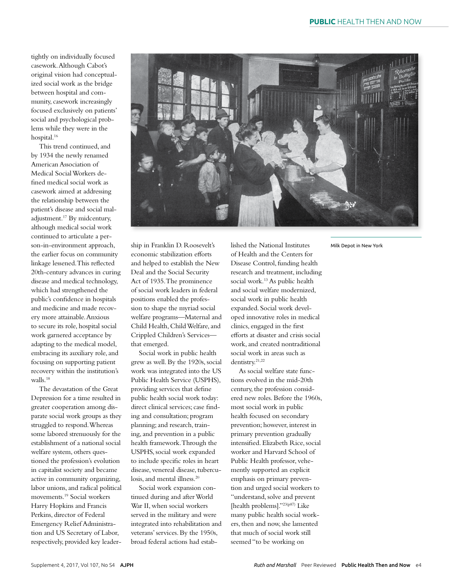tightly on individually focused casework. Although Cabot's original vision had conceptualized social work as the bridge between hospital and community, casework increasingly focused exclusively on patients' social and psychological problems while they were in the hospital.<sup>16</sup>

This trend continued, and by 1934 the newly renamed American Association of Medical Social Workers defned medical social work as casework aimed at addressing the relationship between the patient's disease and social maladjustment.17 By midcentury, although medical social work continued to articulate a person-in-environment approach, the earlier focus on community linkage lessened. This refected 20th-century advances in curing disease and medical technology, which had strengthened the public's confdence in hospitals and medicine and made recovery more attainable. Anxious to secure its role, hospital social work garnered acceptance by adapting to the medical model, embracing its auxiliary role, and focusing on supporting patient recovery within the institution's walls.18

The devastation of the Great Depression for a time resulted in greater cooperation among disparate social work groups as they struggled to respond. Whereas some labored strenuously for the establishment of a national social welfare system, others questioned the profession's evolution in capitalist society and became active in community organizing, labor unions, and radical political movements.19 Social workers Harry Hopkins and Francis Perkins, director of Federal Emergency Relief Administration and US Secretary of Labor, respectively, provided key leader-



ship in Franklin D. Roosevelt's economic stabilization eforts and helped to establish the New Deal and the Social Security Act of 1935. The prominence of social work leaders in federal positions enabled the profession to shape the myriad social welfare programs—Maternal and Child Health, Child Welfare, and Crippled Children's Services that emerged.

Social work in public health grew as well. By the 1920s, social work was integrated into the US Public Health Service (USPHS), providing services that defne public health social work today: direct clinical services; case fnding and consultation; program planning; and research, training, and prevention in a public health framework. Through the USPHS, social work expanded to include specifc roles in heart disease, venereal disease, tuberculosis, and mental illness.<sup>20</sup>

Social work expansion continued during and after World War II, when social workers served in the military and were integrated into rehabilitation and veterans' services. By the 1950s, broad federal actions had established the National Institutes of Health and the Centers for Disease Control, funding health research and treatment, including social work.<sup>13</sup> As public health and social welfare modernized, social work in public health expanded. Social work developed innovative roles in medical clinics, engaged in the frst eforts at disaster and crisis social work, and created nontraditional social work in areas such as dentistry.<sup>21,22</sup>

As social welfare state functions evolved in the mid-20th century, the profession considered new roles. Before the 1960s, most social work in public health focused on secondary prevention; however, interest in primary prevention gradually intensifed. Elizabeth Rice, social worker and Harvard School of Public Health professor, vehemently supported an explicit emphasis on primary prevention and urged social workers to "understand, solve and prevent [health problems]."<sup>23(p87)</sup> Like many public health social workers, then and now, she lamented that much of social work still seemed "to be working on

Milk Depot in New York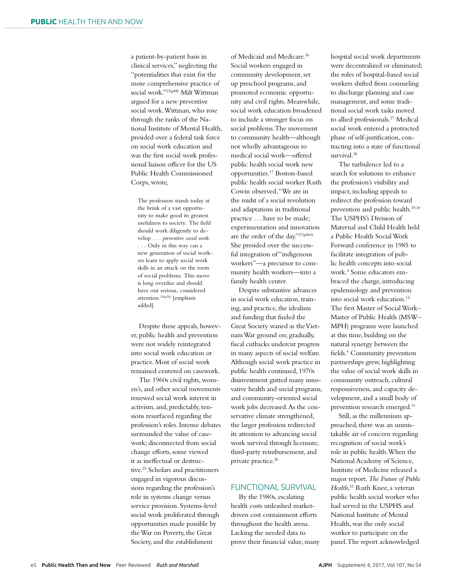a patient-by-patient basis in clinical services," neglecting the "potentialities that exist for the more comprehensive practice of social work."23(p88) Milt Wittman argued for a new preventive social work. Wittman, who rose through the ranks of the National Institute of Mental Health, presided over a federal task force on social work education and was the frst social work professional liaison officer for the US Public Health Commissioned Corps, wrote,

The profession stands today at the brink of a vast opportunity to make good its greatest usefulness to society. The field should work diligently to develop . . . *preventive social work*. . . . Only in this way can a new generation of social workers learn to apply social work skills in an attack on the roots of social problems. This move is long overdue and should have our serious, considered attention.24(p28) [emphasis added]

Despite these appeals, however, public health and prevention were not widely reintegrated into social work education or practice. Most of social work remained centered on casework.

The 1960s civil rights, women's, and other social movements renewed social work interest in activism, and, predictably, tensions resurfaced regarding the profession's roles. Intense debates surrounded the value of casework; disconnected from social change eforts, some viewed it as inefectual or destructive.25 Scholars and practitioners engaged in vigorous discussions regarding the profession's role in systems change versus service provision. Systems-level social work proliferated through opportunities made possible by the War on Poverty, the Great Society, and the establishment

of Medicaid and Medicare.<sup>26</sup> Social workers engaged in community development, set up preschool programs, and promoted economic opportunity and civil rights. Meanwhile, social work education broadened to include a stronger focus on social problems. The movement to community health—although not wholly advantageous to medical social work—ofered public health social work new opportunities.17 Boston-based public health social worker Ruth Cowin observed, "We are in the midst of a social revolution and adaptations in traditional practice . . . have to be made; experimentation and innovation are the order of the day."27(p860) She presided over the successful integration of "indigenous workers"—a precursor to community health workers—into a family health center.

Despite substantive advances in social work education, training, and practice, the idealism and funding that fueled the Great Society waned as the Vietnam War ground on; gradually, fiscal cutbacks undercut progress in many aspects of social welfare. Although social work practice in public health continued, 1970s disinvestment gutted many innovative health and social programs, and community-oriented social work jobs decreased. As the conservative climate strengthened, the larger profession redirected its attention to advancing social work survival through licensure, third-party reimbursement, and private practice.<sup>26</sup>

#### FUNCTIONAL SURVIVAL

By the 1980s, escalating health costs unleashed marketdriven cost containment eforts throughout the health arena. Lacking the needed data to prove their fnancial value, many hospital social work departments were decentralized or eliminated; the roles of hospital-based social workers shifted from counseling to discharge planning and case management, and some traditional social work tasks moved to allied professionals.<sup>27</sup> Medical social work entered a protracted phase of self-justifcation, contracting into a state of functional survival.28

The turbulence led to a search for solutions to enhance the profession's visibility and impact, including appeals to redirect the profession toward prevention and public health.29,30 The USPHS's Division of Maternal and Child Health held a Public Health Social Work Forward conference in 1985 to facilitate integration of public health concepts into social work.4 Some educators embraced the charge, introducing epidemiology and prevention into social work education.14 The frst Master of Social Work– Master of Public Health (MSW– MPH) programs were launched at this time, building on the natural synergy between the fields.<sup>4</sup> Community prevention partnerships grew, highlighting the value of social work skills in community outreach, cultural responsiveness, and capacity development, and a small body of prevention research emerged.<sup>31</sup>

Still, as the millennium approached, there was an unmistakable air of concern regarding recognition of social work's role in public health. When the National Academy of Science, Institute of Medicine released a major report, *The Future of Public Health*, 32 Ruth Knee, a veteran public health social worker who had served in the USPHS and National Institute of Mental Health, was the only social worker to participate on the panel. The report acknowledged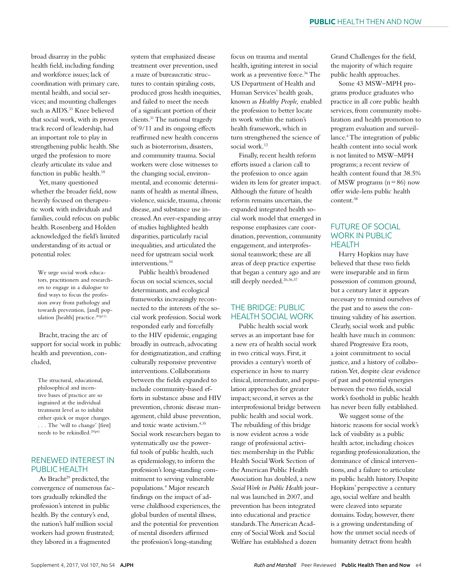broad disarray in the public health feld, including funding and workforce issues; lack of coordination with primary care, mental health, and social services; and mounting challenges such as AIDS.<sup>33</sup> Knee believed that social work, with its proven track record of leadership, had an important role to play in strengthening public health. She urged the profession to more clearly articulate its value and function in public health.<sup>18</sup>

Yet, many questioned whether the broader feld, now heavily focused on therapeutic work with individuals and families, could refocus on public health. Rosenberg and Holden acknowledged the feld's limited understanding of its actual or potential roles:

We urge social work educators, practitioners and researchers to engage in a dialogue to find ways to focus the profession away from pathology and towards prevention, [and] population [health] practice.<sup>30(p11)</sup>

Bracht, tracing the arc of support for social work in public health and prevention, concluded,

The structural, educational, philosophical and incentive bases of practice are so ingrained at the individual treatment level as to inhibit either quick or major changes. . . . The 'will to change' [first] needs to be rekindled.29(p6)

# RENEWED INTEREST IN PUBLIC HEALTH

As Bracht<sup>29</sup> predicted, the convergence of numerous factors gradually rekindled the profession's interest in public health. By the century's end, the nation's half million social workers had grown frustrated; they labored in a fragmented

system that emphasized disease treatment over prevention, used a maze of bureaucratic structures to contain spiraling costs, produced gross health inequities, and failed to meet the needs of a signifcant portion of their clients.31 The national tragedy of 9/11 and its ongoing efects reaffirmed new health concerns such as bioterrorism, disasters, and community trauma. Social workers were close witnesses to the changing social, environmental, and economic determinants of health as mental illness, violence, suicide, trauma, chronic disease, and substance use increased. An ever-expanding array of studies highlighted health disparities, particularly racial inequalities, and articulated the need for upstream social work interventions.34

Public health's broadened focus on social sciences, social determinants, and ecological frameworks increasingly reconnected to the interests of the social work profession. Social work responded early and forcefully to the HIV epidemic, engaging broadly in outreach, advocating for destigmatization, and crafting culturally responsive preventive interventions. Collaborations between the felds expanded to include community-based efforts in substance abuse and HIV prevention, chronic disease management, child abuse prevention, and toxic waste activism.4,35 Social work researchers began to systematically use the powerful tools of public health, such as epidemiology, to inform the profession's long-standing commitment to serving vulnerable populations.4 Major research fndings on the impact of adverse childhood experiences, the global burden of mental illness, and the potential for prevention of mental disorders afrmed the profession's long-standing

focus on trauma and mental health, igniting interest in social work as a preventive force.<sup>36</sup> The US Department of Health and Human Services' health goals, known as *Healthy People,* enabled the profession to better locate its work within the nation's health framework, which in turn strengthened the science of social work.<sup>12</sup>

Finally, recent health reform eforts issued a clarion call to the profession to once again widen its lens for greater impact. Although the future of health reform remains uncertain, the expanded integrated health social work model that emerged in response emphasizes care coordination, prevention, community engagement, and interprofessional teamwork; these are all areas of deep practice expertise that began a century ago and are still deeply needed.<sup>26,36,37</sup>

### THE BRIDGE: PUBLIC HEALTH SOCIAL WORK

Public health social work serves as an important base for a new era of health social work in two critical ways. First, it provides a century's worth of experience in how to marry clinical, intermediate, and population approaches for greater impact; second, it serves as the interprofessional bridge between public health and social work. The rebuilding of this bridge is now evident across a wide range of professional activities: membership in the Public Health Social Work Section of the American Public Health Association has doubled, a new *Social Work in Public Health* journal was launched in 2007, and prevention has been integrated into educational and practice standards. The American Academy of Social Work and Social Welfare has established a dozen

Grand Challenges for the feld, the majority of which require public health approaches.

Some 43 MSW–MPH programs produce graduates who practice in all core public health services, from community mobilization and health promotion to program evaluation and surveillance.4 The integration of public health content into social work is not limited to MSW–MPH programs; a recent review of health content found that 38.5% of MSW programs  $(n=86)$  now offer wide-lens public health content.38

#### FUTURE OF SOCIAL WORK IN PUBLIC HEALTH

Harry Hopkins may have believed that these two felds were inseparable and in frm possession of common ground, but a century later it appears necessary to remind ourselves of the past and to assess the continuing validity of his assertion. Clearly, social work and public health have much in common: shared Progressive Era roots, a joint commitment to social justice, and a history of collaboration. Yet, despite clear evidence of past and potential synergies between the two felds, social work's foothold in public health has never been fully established.

We suggest some of the historic reasons for social work's lack of visibility as a public health actor, including choices regarding professionalization, the dominance of clinical interventions, and a failure to articulate its public health history. Despite Hopkins' perspective a century ago, social welfare and health were cleaved into separate domains. Today, however, there is a growing understanding of how the unmet social needs of humanity detract from health